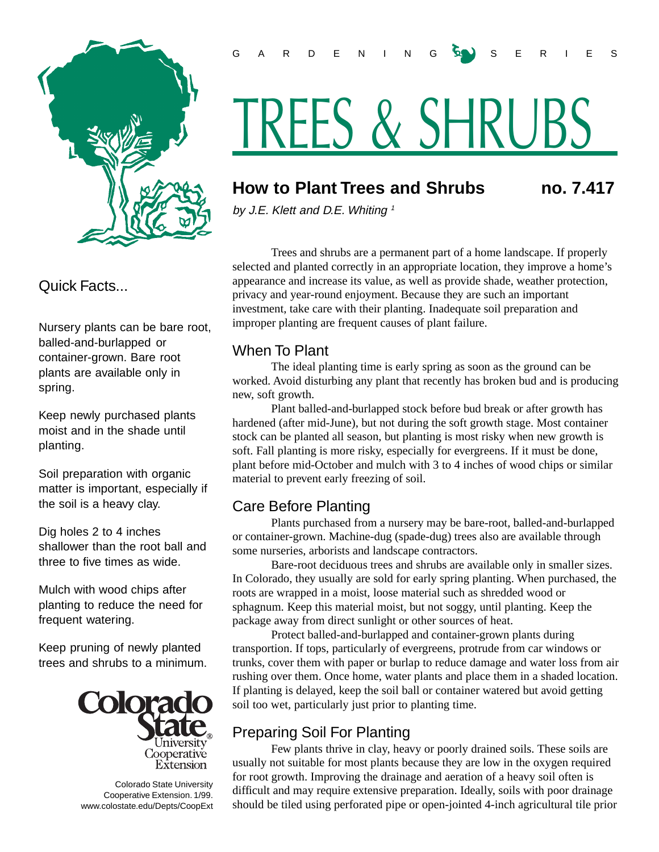

#### Quick Facts...

Nursery plants can be bare root, balled-and-burlapped or container-grown. Bare root plants are available only in spring.

Keep newly purchased plants moist and in the shade until planting.

Soil preparation with organic matter is important, especially if the soil is a heavy clay.

Dig holes 2 to 4 inches shallower than the root ball and three to five times as wide.

Mulch with wood chips after planting to reduce the need for frequent watering.

Keep pruning of newly planted trees and shrubs to a minimum.



 Colorado State University Cooperative Extension. 1/99. www.colostate.edu/Depts/CoopExt

# TREES & SHRUBS

## **How to Plant Trees and Shrubs no. 7.417**

by J.E. Klett and D.E. Whiting  $1$ 

Trees and shrubs are a permanent part of a home landscape. If properly selected and planted correctly in an appropriate location, they improve a home's appearance and increase its value, as well as provide shade, weather protection, privacy and year-round enjoyment. Because they are such an important investment, take care with their planting. Inadequate soil preparation and improper planting are frequent causes of plant failure.

#### When To Plant

The ideal planting time is early spring as soon as the ground can be worked. Avoid disturbing any plant that recently has broken bud and is producing new, soft growth.

Plant balled-and-burlapped stock before bud break or after growth has hardened (after mid-June), but not during the soft growth stage. Most container stock can be planted all season, but planting is most risky when new growth is soft. Fall planting is more risky, especially for evergreens. If it must be done, plant before mid-October and mulch with 3 to 4 inches of wood chips or similar material to prevent early freezing of soil.

### Care Before Planting

Plants purchased from a nursery may be bare-root, balled-and-burlapped or container-grown. Machine-dug (spade-dug) trees also are available through some nurseries, arborists and landscape contractors.

Bare-root deciduous trees and shrubs are available only in smaller sizes. In Colorado, they usually are sold for early spring planting. When purchased, the roots are wrapped in a moist, loose material such as shredded wood or sphagnum. Keep this material moist, but not soggy, until planting. Keep the package away from direct sunlight or other sources of heat.

Protect balled-and-burlapped and container-grown plants during transportion. If tops, particularly of evergreens, protrude from car windows or trunks, cover them with paper or burlap to reduce damage and water loss from air rushing over them. Once home, water plants and place them in a shaded location. If planting is delayed, keep the soil ball or container watered but avoid getting soil too wet, particularly just prior to planting time.

## Preparing Soil For Planting

Few plants thrive in clay, heavy or poorly drained soils. These soils are usually not suitable for most plants because they are low in the oxygen required for root growth. Improving the drainage and aeration of a heavy soil often is difficult and may require extensive preparation. Ideally, soils with poor drainage should be tiled using perforated pipe or open-jointed 4-inch agricultural tile prior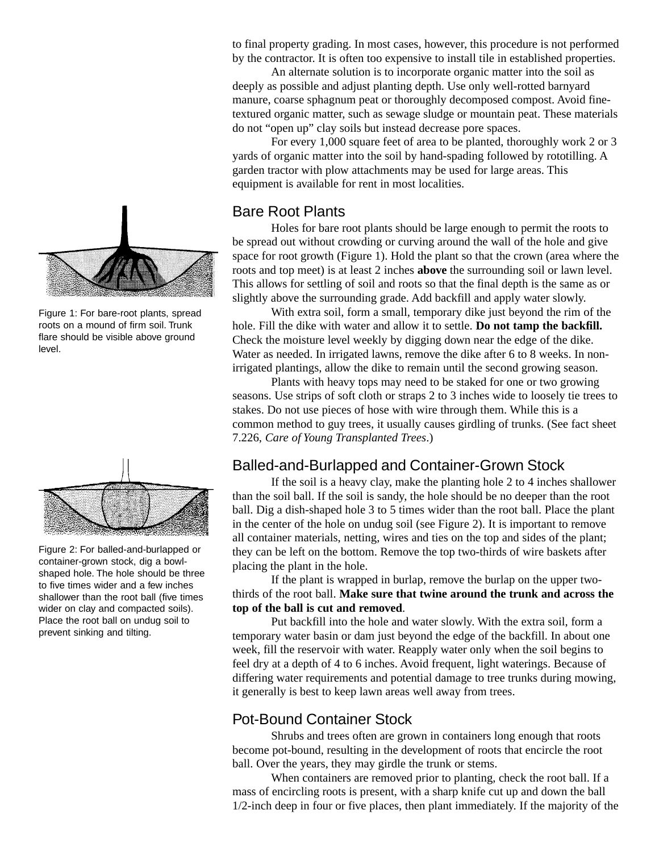

Figure 1: For bare-root plants, spread roots on a mound of firm soil. Trunk flare should be visible above ground level.



Figure 2: For balled-and-burlapped or container-grown stock, dig a bowlshaped hole. The hole should be three to five times wider and a few inches shallower than the root ball (five times wider on clay and compacted soils). Place the root ball on undug soil to prevent sinking and tilting.

to final property grading. In most cases, however, this procedure is not performed by the contractor. It is often too expensive to install tile in established properties.

An alternate solution is to incorporate organic matter into the soil as deeply as possible and adjust planting depth. Use only well-rotted barnyard manure, coarse sphagnum peat or thoroughly decomposed compost. Avoid finetextured organic matter, such as sewage sludge or mountain peat. These materials do not "open up" clay soils but instead decrease pore spaces.

For every 1,000 square feet of area to be planted, thoroughly work 2 or 3 yards of organic matter into the soil by hand-spading followed by rototilling. A garden tractor with plow attachments may be used for large areas. This equipment is available for rent in most localities.

#### Bare Root Plants

Holes for bare root plants should be large enough to permit the roots to be spread out without crowding or curving around the wall of the hole and give space for root growth (Figure 1). Hold the plant so that the crown (area where the roots and top meet) is at least 2 inches **above** the surrounding soil or lawn level. This allows for settling of soil and roots so that the final depth is the same as or slightly above the surrounding grade. Add backfill and apply water slowly.

With extra soil, form a small, temporary dike just beyond the rim of the hole. Fill the dike with water and allow it to settle. **Do not tamp the backfill.** Check the moisture level weekly by digging down near the edge of the dike. Water as needed. In irrigated lawns, remove the dike after 6 to 8 weeks. In nonirrigated plantings, allow the dike to remain until the second growing season.

Plants with heavy tops may need to be staked for one or two growing seasons. Use strips of soft cloth or straps 2 to 3 inches wide to loosely tie trees to stakes. Do not use pieces of hose with wire through them. While this is a common method to guy trees, it usually causes girdling of trunks. (See fact sheet 7.226, *Care of Young Transplanted Trees*.)

#### Balled-and-Burlapped and Container-Grown Stock

If the soil is a heavy clay, make the planting hole 2 to 4 inches shallower than the soil ball. If the soil is sandy, the hole should be no deeper than the root ball. Dig a dish-shaped hole 3 to 5 times wider than the root ball. Place the plant in the center of the hole on undug soil (see Figure 2). It is important to remove all container materials, netting, wires and ties on the top and sides of the plant; they can be left on the bottom. Remove the top two-thirds of wire baskets after placing the plant in the hole.

If the plant is wrapped in burlap, remove the burlap on the upper twothirds of the root ball. **Make sure that twine around the trunk and across the top of the ball is cut and removed**.

Put backfill into the hole and water slowly. With the extra soil, form a temporary water basin or dam just beyond the edge of the backfill. In about one week, fill the reservoir with water. Reapply water only when the soil begins to feel dry at a depth of 4 to 6 inches. Avoid frequent, light waterings. Because of differing water requirements and potential damage to tree trunks during mowing, it generally is best to keep lawn areas well away from trees.

#### Pot-Bound Container Stock

Shrubs and trees often are grown in containers long enough that roots become pot-bound, resulting in the development of roots that encircle the root ball. Over the years, they may girdle the trunk or stems.

When containers are removed prior to planting, check the root ball. If a mass of encircling roots is present, with a sharp knife cut up and down the ball 1/2-inch deep in four or five places, then plant immediately. If the majority of the